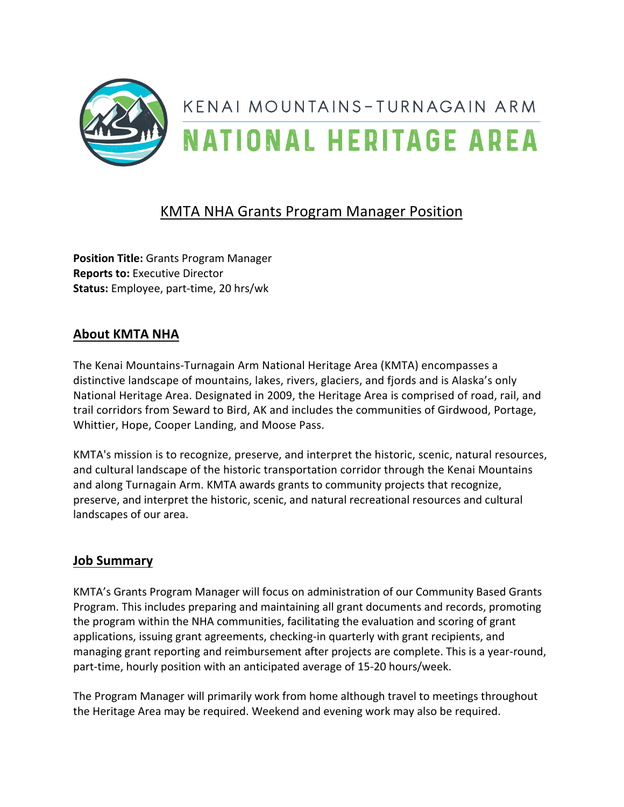

# **KMTA NHA Grants Program Manager Position**

**Position Title:** Grants Program Manager **Reports to: Executive Director Status:** Employee, part-time, 20 hrs/wk

# **About KMTA NHA**

The Kenai Mountains-Turnagain Arm National Heritage Area (KMTA) encompasses a distinctive landscape of mountains, lakes, rivers, glaciers, and fjords and is Alaska's only National Heritage Area. Designated in 2009, the Heritage Area is comprised of road, rail, and trail corridors from Seward to Bird, AK and includes the communities of Girdwood, Portage, Whittier, Hope, Cooper Landing, and Moose Pass.

KMTA's mission is to recognize, preserve, and interpret the historic, scenic, natural resources, and cultural landscape of the historic transportation corridor through the Kenai Mountains and along Turnagain Arm. KMTA awards grants to community projects that recognize, preserve, and interpret the historic, scenic, and natural recreational resources and cultural landscapes of our area.

## **Job Summary**

KMTA's Grants Program Manager will focus on administration of our Community Based Grants Program. This includes preparing and maintaining all grant documents and records, promoting the program within the NHA communities, facilitating the evaluation and scoring of grant applications, issuing grant agreements, checking-in quarterly with grant recipients, and managing grant reporting and reimbursement after projects are complete. This is a year-round, part-time, hourly position with an anticipated average of 15-20 hours/week.

The Program Manager will primarily work from home although travel to meetings throughout the Heritage Area may be required. Weekend and evening work may also be required.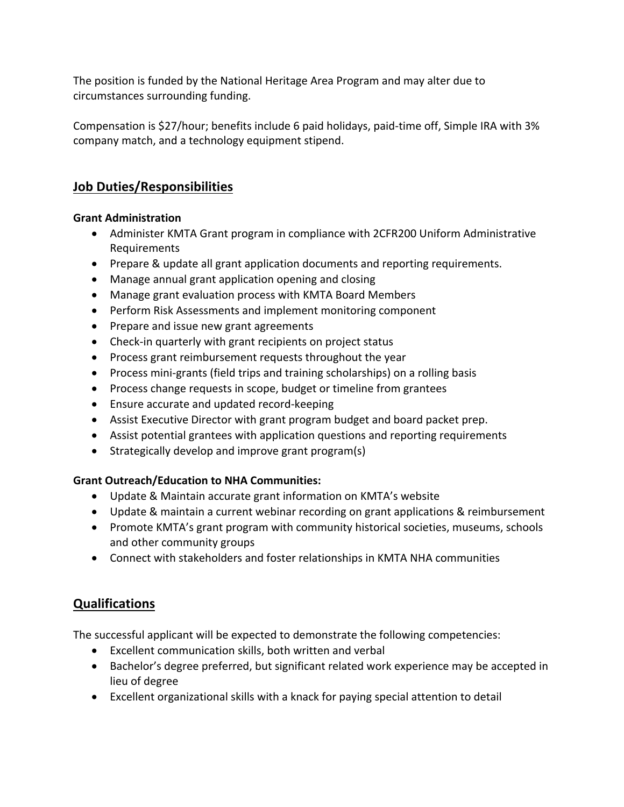The position is funded by the National Heritage Area Program and may alter due to circumstances surrounding funding.

Compensation is \$27/hour; benefits include 6 paid holidays, paid-time off, Simple IRA with 3% company match, and a technology equipment stipend.

# **Job Duties/Responsibilities**

### **Grant Administration**

- Administer KMTA Grant program in compliance with 2CFR200 Uniform Administrative Requirements
- Prepare & update all grant application documents and reporting requirements.
- Manage annual grant application opening and closing
- Manage grant evaluation process with KMTA Board Members
- Perform Risk Assessments and implement monitoring component
- Prepare and issue new grant agreements
- Check-in quarterly with grant recipients on project status
- Process grant reimbursement requests throughout the year
- Process mini-grants (field trips and training scholarships) on a rolling basis
- Process change requests in scope, budget or timeline from grantees
- Ensure accurate and updated record-keeping
- Assist Executive Director with grant program budget and board packet prep.
- Assist potential grantees with application questions and reporting requirements
- Strategically develop and improve grant program(s)

## **Grant Outreach/Education to NHA Communities:**

- Update & Maintain accurate grant information on KMTA's website
- Update & maintain a current webinar recording on grant applications & reimbursement
- Promote KMTA's grant program with community historical societies, museums, schools and other community groups
- Connect with stakeholders and foster relationships in KMTA NHA communities

# **Qualifications**

The successful applicant will be expected to demonstrate the following competencies:

- Excellent communication skills, both written and verbal
- Bachelor's degree preferred, but significant related work experience may be accepted in lieu of degree
- Excellent organizational skills with a knack for paying special attention to detail